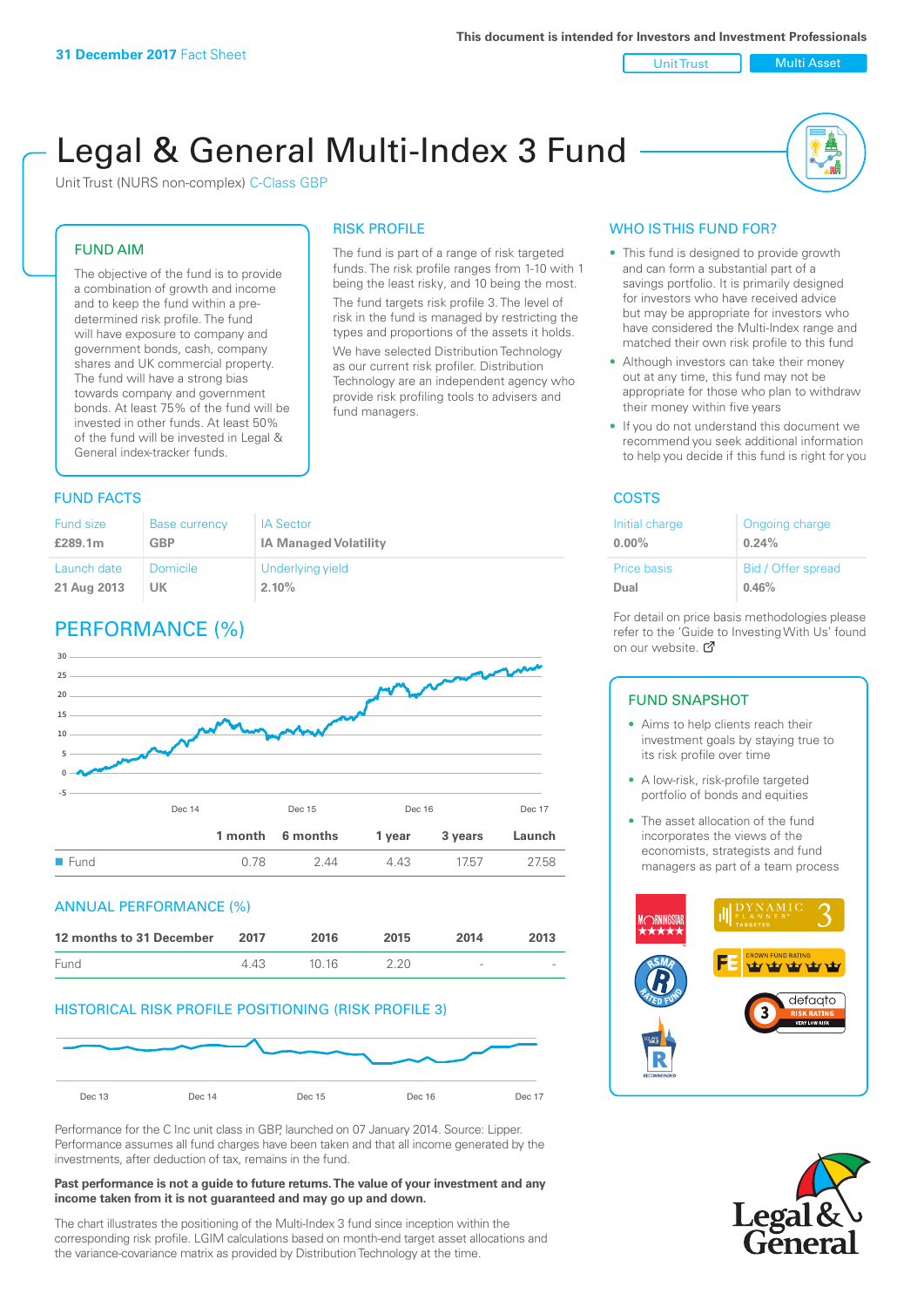Unit Trust Nulti Asset

# Legal & General Multi-Index 3 Fund

RISK PROFILE

fund managers.

The fund is part of a range of risk targeted funds. The risk profile ranges from 1-10 with 1 being the least risky, and 10 being the most. The fund targets risk profile 3. The level of risk in the fund is managed by restricting the types and proportions of the assets it holds. We have selected Distribution Technology as our current risk profiler. Distribution Technology are an independent agency who provide risk profiling tools to advisers and

Unit Trust (NURS non-complex) C-Class GBP

#### FUND AIM

The objective of the fund is to provide a combination of growth and income and to keep the fund within a predetermined risk profile. The fund will have exposure to company and government bonds, cash, company shares and UK commercial property. The fund will have a strong bias towards company and government bonds. At least 75% of the fund will be invested in other funds. At least 50% of the fund will be invested in Legal & General index-tracker funds.

### **FUND FACTS** COSTS

| <b>Fund size</b> | <b>Base currency</b> | <b>IA Sector</b>             |
|------------------|----------------------|------------------------------|
| £289.1m          | <b>GBP</b>           | <b>IA Managed Volatility</b> |
| Launch date      | Domicile             | Underlying yield             |
| 21 Aug 2013      | UK                   | 2.10%                        |

# PERFORMANCE (%)



#### ANNUAL PERFORMANCE (%)



#### HISTORICAL RISK PROFILE POSITIONING (RISK PROFILE 3)

![](_page_0_Figure_15.jpeg)

Performance for the C Inc unit class in GBP, launched on 07 January 2014. Source: Lipper. Performance assumes all fund charges have been taken and that all income generated by the investments, after deduction of tax, remains in the fund.

#### **Past performance is not a guide to future returns. The value of your investment and any income taken from it is not guaranteed and may go up and down.**

The chart illustrates the positioning of the Multi-Index 3 fund since inception within the corresponding risk profile. LGIM calculations based on month-end target asset allocations and the variance-covariance matrix as provided by Distribution Technology at the time.

### WHO IS THIS FUND FOR?

- This fund is designed to provide growth and can form a substantial part of a savings portfolio. It is primarily designed for investors who have received advice but may be appropriate for investors who have considered the Multi-Index range and matched their own risk profile to this fund
- Although investors can take their money out at any time, this fund may not be appropriate for those who plan to withdraw their money within five years
- If you do not understand this document we recommend you seek additional information to help you decide if this fund is right for you

| Initial charge     | Ongoing charge     |
|--------------------|--------------------|
| $0.00\%$           | 0.24%              |
| <b>Price basis</b> | Bid / Offer spread |
| Dual               | 0.46%              |

For detail on price basis methodologies please refer to the 'Gu[ide t](http://www.legalandgeneral.com/guide)o Investing With Us' found on our website. Ø

#### FUND SNAPSHOT

- Aims to help clients reach their investment goals by staying true to its risk profile over time
- A low-risk, risk-profile targeted portfolio of bonds and equities
- The asset allocation of the fund incorporates the views of the economists, strategists and fund managers as part of a team process

![](_page_0_Picture_30.jpeg)

![](_page_0_Picture_31.jpeg)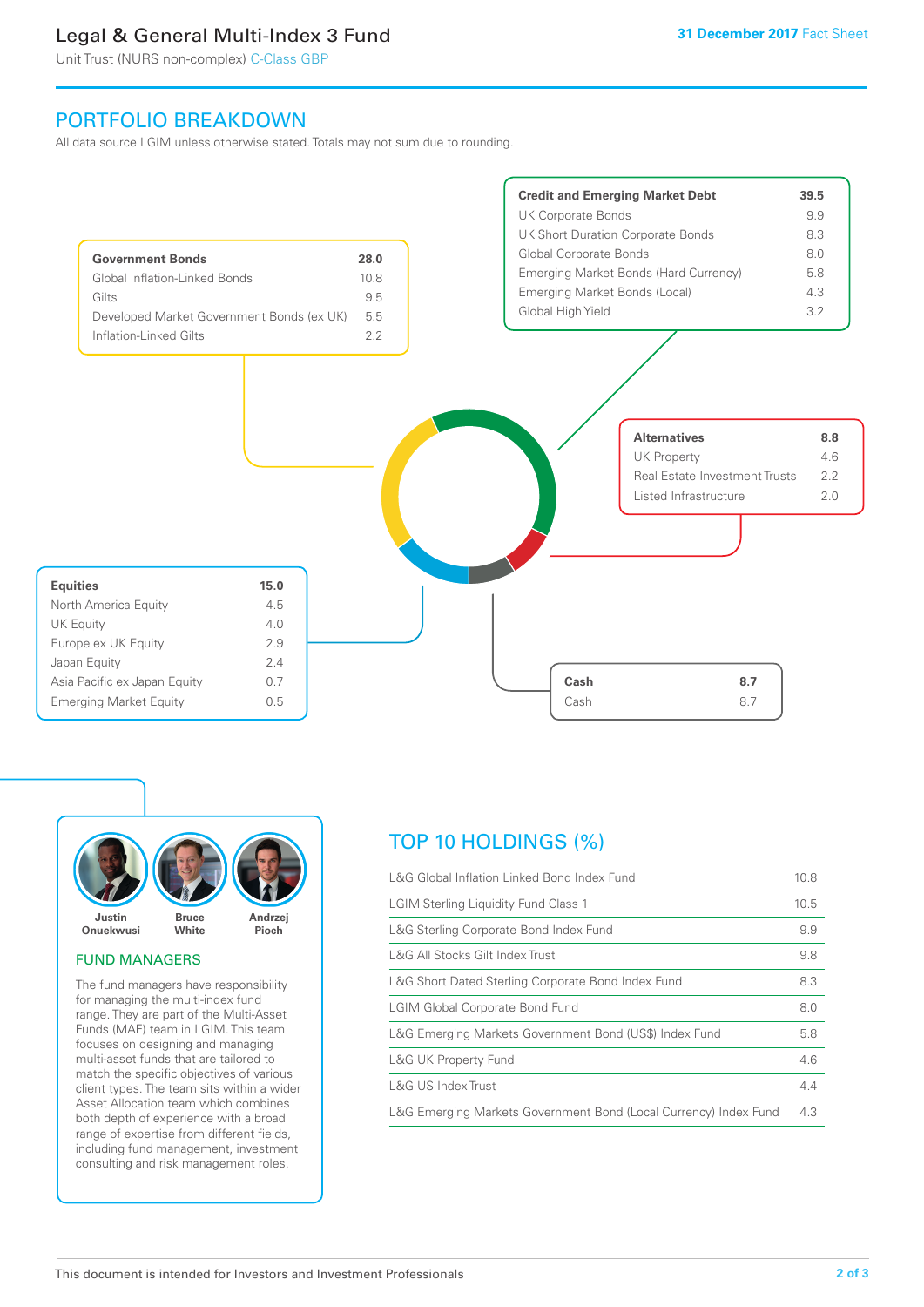# Legal & General Multi-Index 3 Fund

Unit Trust (NURS non-complex) C-Class GBP

## PORTFOLIO BREAKDOWN

All data source LGIM unless otherwise stated. Totals may not sum due to rounding.

![](_page_1_Figure_5.jpeg)

![](_page_1_Picture_6.jpeg)

#### FUND MANAGERS

The fund managers have responsibility for managing the multi-index fund range. They are part of the Multi-Asset Funds (MAF) team in LGIM. This team focuses on designing and managing multi-asset funds that are tailored to match the specific objectives of various client types. The team sits within a wider Asset Allocation team which combines both depth of experience with a broad range of expertise from different fields, including fund management, investment consulting and risk management roles.

# TOP 10 HOLDINGS (%)

| L&G Global Inflation Linked Bond Index Fund                      |      |  |
|------------------------------------------------------------------|------|--|
| <b>LGIM Sterling Liquidity Fund Class 1</b>                      | 10.5 |  |
| L&G Sterling Corporate Bond Index Fund                           |      |  |
| L&G All Stocks Gilt Index Trust                                  | 9.8  |  |
| L&G Short Dated Sterling Corporate Bond Index Fund               |      |  |
| <b>LGIM Global Corporate Bond Fund</b>                           |      |  |
| L&G Emerging Markets Government Bond (US\$) Index Fund           |      |  |
| <b>L&amp;G UK Property Fund</b>                                  |      |  |
| L&G US Index Trust                                               |      |  |
| L&G Emerging Markets Government Bond (Local Currency) Index Fund |      |  |